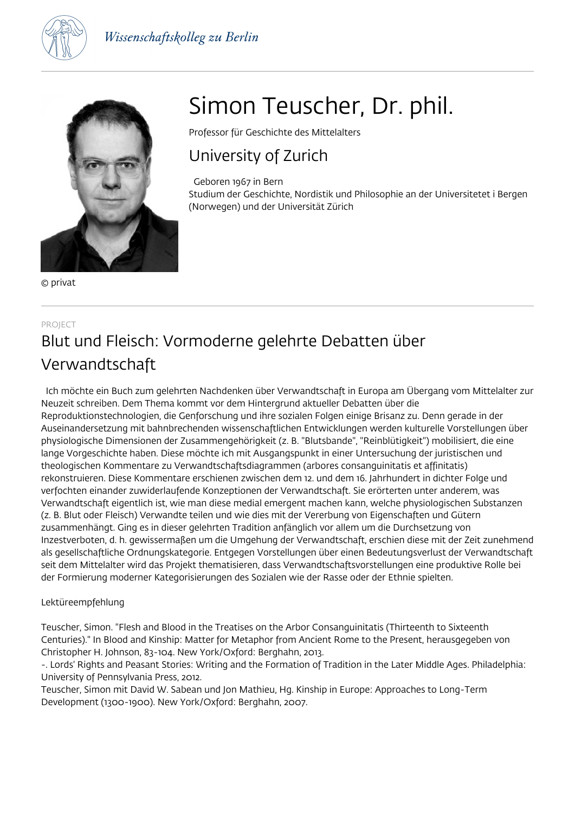



© privat

# Simon Teuscher, Dr. phil.

Professor für Geschichte des Mittelalters

## University of Zurich

Geboren 1967 in Bern

Studium der Geschichte, Nordistik und Philosophie an der Universitetet i Bergen (Norwegen) und der Universität Zürich

## PROJECT Blut und Fleisch: Vormoderne gelehrte Debatten über Verwandtschaft

 Ich möchte ein Buch zum gelehrten Nachdenken über Verwandtschaft in Europa am Übergang vom Mittelalter zur Neuzeit schreiben. Dem Thema kommt vor dem Hintergrund aktueller Debatten über die Reproduktionstechnologien, die Genforschung und ihre sozialen Folgen einige Brisanz zu. Denn gerade in der Auseinandersetzung mit bahnbrechenden wissenschaftlichen Entwicklungen werden kulturelle Vorstellungen über physiologische Dimensionen der Zusammengehörigkeit (z. B. "Blutsbande", "Reinblütigkeit") mobilisiert, die eine lange Vorgeschichte haben. Diese möchte ich mit Ausgangspunkt in einer Untersuchung der juristischen und theologischen Kommentare zu Verwandtschaftsdiagrammen (arbores consanguinitatis et affinitatis) rekonstruieren. Diese Kommentare erschienen zwischen dem 12. und dem 16. Jahrhundert in dichter Folge und verfochten einander zuwiderlaufende Konzeptionen der Verwandtschaft. Sie erörterten unter anderem, was Verwandtschaft eigentlich ist, wie man diese medial emergent machen kann, welche physiologischen Substanzen (z. B. Blut oder Fleisch) Verwandte teilen und wie dies mit der Vererbung von Eigenschaften und Gütern zusammenhängt. Ging es in dieser gelehrten Tradition anfänglich vor allem um die Durchsetzung von Inzestverboten, d. h. gewissermaßen um die Umgehung der Verwandtschaft, erschien diese mit der Zeit zunehmend als gesellschaftliche Ordnungskategorie. Entgegen Vorstellungen über einen Bedeutungsverlust der Verwandtschaft seit dem Mittelalter wird das Projekt thematisieren, dass Verwandtschaftsvorstellungen eine produktive Rolle bei der Formierung moderner Kategorisierungen des Sozialen wie der Rasse oder der Ethnie spielten.

## Lektüreempfehlung

Teuscher, Simon. "Flesh and Blood in the Treatises on the Arbor Consanguinitatis (Thirteenth to Sixteenth Centuries)." In Blood and Kinship: Matter for Metaphor from Ancient Rome to the Present, herausgegeben von Christopher H. Johnson, 83-104. New York/Oxford: Berghahn, 2013.

-. Lords' Rights and Peasant Stories: Writing and the Formation of Tradition in the Later Middle Ages. Philadelphia: University of Pennsylvania Press, 2012.

Teuscher, Simon mit David W. Sabean und Jon Mathieu, Hg. Kinship in Europe: Approaches to Long-Term Development (1300-1900). New York/Oxford: Berghahn, 2007.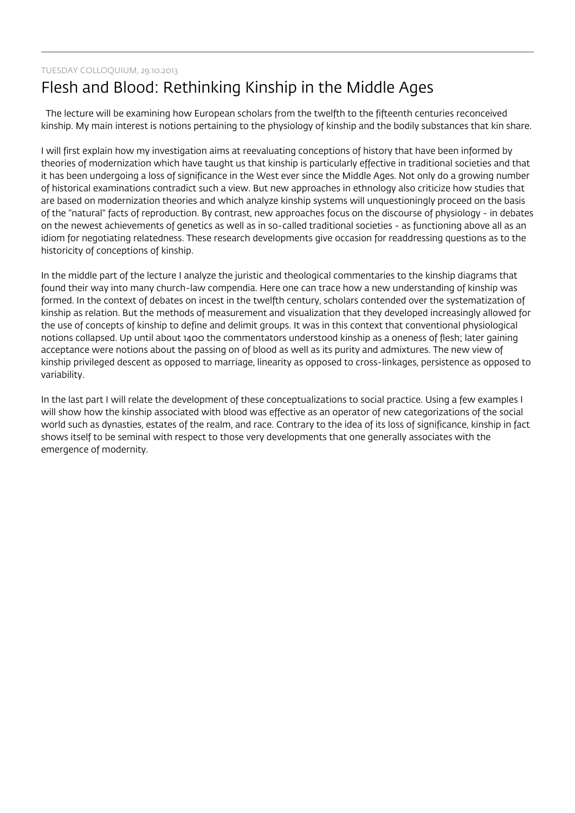## TUESDAY COLLOQUIUM, 29.10.2013 Flesh and Blood: Rethinking Kinship in the Middle Ages

 The lecture will be examining how European scholars from the twelfth to the fifteenth centuries reconceived kinship. My main interest is notions pertaining to the physiology of kinship and the bodily substances that kin share.

I will first explain how my investigation aims at reevaluating conceptions of history that have been informed by theories of modernization which have taught us that kinship is particularly effective in traditional societies and that it has been undergoing a loss of significance in the West ever since the Middle Ages. Not only do a growing number of historical examinations contradict such a view. But new approaches in ethnology also criticize how studies that are based on modernization theories and which analyze kinship systems will unquestioningly proceed on the basis of the "natural" facts of reproduction. By contrast, new approaches focus on the discourse of physiology - in debates on the newest achievements of genetics as well as in so-called traditional societies - as functioning above all as an idiom for negotiating relatedness. These research developments give occasion for readdressing questions as to the historicity of conceptions of kinship.

In the middle part of the lecture I analyze the juristic and theological commentaries to the kinship diagrams that found their way into many church-law compendia. Here one can trace how a new understanding of kinship was formed. In the context of debates on incest in the twelfth century, scholars contended over the systematization of kinship as relation. But the methods of measurement and visualization that they developed increasingly allowed for the use of concepts of kinship to define and delimit groups. It was in this context that conventional physiological notions collapsed. Up until about 1400 the commentators understood kinship as a oneness of flesh; later gaining acceptance were notions about the passing on of blood as well as its purity and admixtures. The new view of kinship privileged descent as opposed to marriage, linearity as opposed to cross-linkages, persistence as opposed to variability.

In the last part I will relate the development of these conceptualizations to social practice. Using a few examples I will show how the kinship associated with blood was effective as an operator of new categorizations of the social world such as dynasties, estates of the realm, and race. Contrary to the idea of its loss of significance, kinship in fact shows itself to be seminal with respect to those very developments that one generally associates with the emergence of modernity.